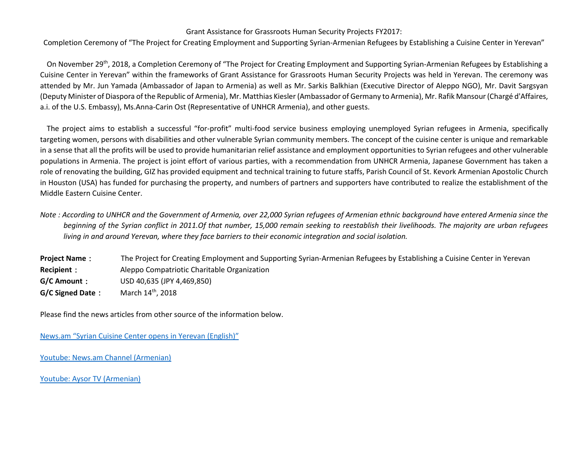## Grant Assistance for Grassroots Human Security Projects FY2017:

Completion Ceremony of "The Project for Creating Employment and Supporting Syrian-Armenian Refugees by Establishing a Cuisine Center in Yerevan"

On November 29<sup>th</sup>, 2018, a Completion Ceremony of "The Project for Creating Employment and Supporting Syrian-Armenian Refugees by Establishing a Cuisine Center in Yerevan" within the frameworks of Grant Assistance for Grassroots Human Security Projects was held in Yerevan. The ceremony was attended by Mr. Jun Yamada (Ambassador of Japan to Armenia) as well as Mr. Sarkis Balkhian (Executive Director of Aleppo NGO), Mr. Davit Sargsyan (Deputy Minister of Diaspora of the Republic of Armenia), Mr. Matthias Kiesler (Ambassador of Germany to Armenia), Mr. Rafik Mansour (Chargé d'Affaires, a.i. of the U.S. Embassy), Ms.Anna-Carin Ost (Representative of UNHCR Armenia), and other guests.

The project aims to establish a successful "for-profit" multi-food service business employing unemployed Syrian refugees in Armenia, specifically targeting women, persons with disabilities and other vulnerable Syrian community members. The concept of the cuisine center is unique and remarkable in a sense that all the profits will be used to provide humanitarian relief assistance and employment opportunities to Syrian refugees and other vulnerable populations in Armenia. The project is joint effort of various parties, with a recommendation from UNHCR Armenia, Japanese Government has taken a role of renovating the building, GIZ has provided equipment and technical training to future staffs, Parish Council of St. Kevork Armenian Apostolic Church in Houston (USA) has funded for purchasing the property, and numbers of partners and supporters have contributed to realize the establishment of the Middle Eastern Cuisine Center.

*Note : According to UNHCR and the Government of Armenia, over 22,000 Syrian refugees of Armenian ethnic background have entered Armenia since the beginning of the Syrian conflict in 2011.Of that number, 15,000 remain seeking to reestablish their livelihoods. The majority are urban refugees living in and around Yerevan, where they face barriers to their economic integration and social isolation.*

**Project Name**: The Project for Creating Employment and Supporting Syrian-Armenian Refugees by Establishing a Cuisine Center in Yerevan **Recipient**: Aleppo Compatriotic Charitable Organization **G/C Amount**: USD 40,635 (JPY 4,469,850) **G/C Signed Date:** March 14th, 2018

Please find the news articles from other source of the information below.

[News.am "Syrian Cuisine Center opens in Yerevan](https://news.am/eng/news/483630.html) (English)"

[Youtube: News.am Channel \(Armenian\)](https://www.youtube.com/watch?v=zn81JOH3oVg) 

[Youtube: Aysor TV \(Armenian\)](Youtube:%20Aysor%20TV%20(Armenian))